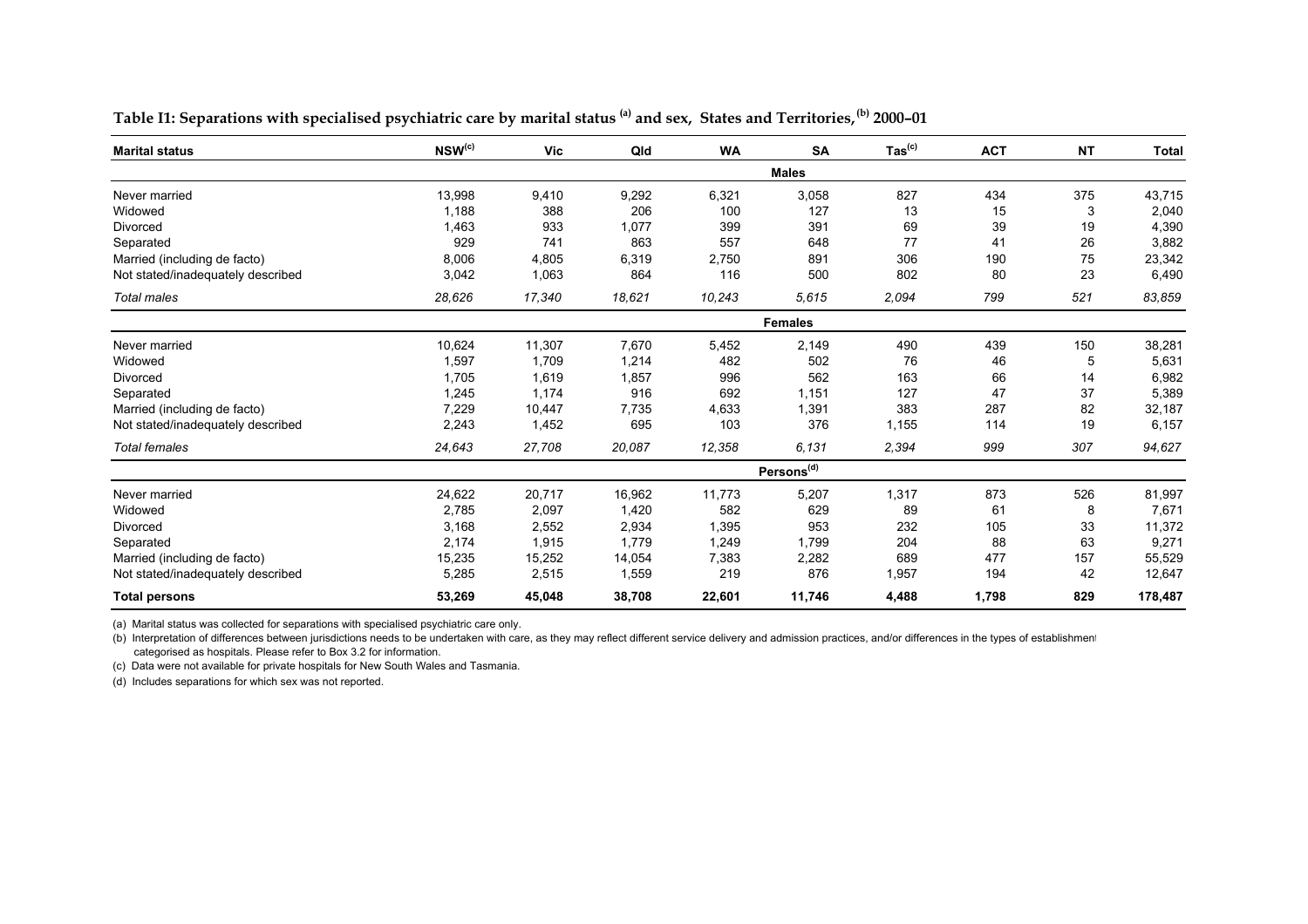| <b>Marital status</b>             | $NSW^{(c)}$ | <b>Vic</b> | Qld    | <b>WA</b> | <b>SA</b>              | $\mathsf{ Tas}^{\mathsf{(c)}}$ | <b>ACT</b> | <b>NT</b> | <b>Total</b> |
|-----------------------------------|-------------|------------|--------|-----------|------------------------|--------------------------------|------------|-----------|--------------|
|                                   |             |            |        |           | <b>Males</b>           |                                |            |           |              |
| Never married                     | 13,998      | 9,410      | 9,292  | 6,321     | 3,058                  | 827                            | 434        | 375       | 43,715       |
| Widowed                           | 1,188       | 388        | 206    | 100       | 127                    | 13                             | 15         | 3         | 2,040        |
| Divorced                          | 1,463       | 933        | 1,077  | 399       | 391                    | 69                             | 39         | 19        | 4,390        |
| Separated                         | 929         | 741        | 863    | 557       | 648                    | 77                             | 41         | 26        | 3,882        |
| Married (including de facto)      | 8,006       | 4,805      | 6,319  | 2,750     | 891                    | 306                            | 190        | 75        | 23,342       |
| Not stated/inadequately described | 3,042       | 1,063      | 864    | 116       | 500                    | 802                            | 80         | 23        | 6,490        |
| Total males                       | 28,626      | 17,340     | 18,621 | 10,243    | 5,615                  | 2,094                          | 799        | 521       | 83,859       |
|                                   |             |            |        |           | <b>Females</b>         |                                |            |           |              |
| Never married                     | 10,624      | 11,307     | 7,670  | 5,452     | 2,149                  | 490                            | 439        | 150       | 38,281       |
| Widowed                           | 1,597       | 1,709      | 1,214  | 482       | 502                    | 76                             | 46         | 5         | 5,631        |
| Divorced                          | 1,705       | 1,619      | 1,857  | 996       | 562                    | 163                            | 66         | 14        | 6,982        |
| Separated                         | 1,245       | 1,174      | 916    | 692       | 1,151                  | 127                            | 47         | 37        | 5,389        |
| Married (including de facto)      | 7,229       | 10,447     | 7,735  | 4,633     | 1,391                  | 383                            | 287        | 82        | 32,187       |
| Not stated/inadequately described | 2,243       | 1,452      | 695    | 103       | 376                    | 1,155                          | 114        | 19        | 6,157        |
| <b>Total females</b>              | 24,643      | 27,708     | 20,087 | 12,358    | 6.131                  | 2,394                          | 999        | 307       | 94,627       |
|                                   |             |            |        |           | Persons <sup>(d)</sup> |                                |            |           |              |
| Never married                     | 24,622      | 20,717     | 16,962 | 11,773    | 5,207                  | 1,317                          | 873        | 526       | 81,997       |
| Widowed                           | 2,785       | 2,097      | 1,420  | 582       | 629                    | 89                             | 61         | 8         | 7,671        |
| Divorced                          | 3,168       | 2,552      | 2,934  | 1,395     | 953                    | 232                            | 105        | 33        | 11,372       |
| Separated                         | 2,174       | 1,915      | 1,779  | 1,249     | 1,799                  | 204                            | 88         | 63        | 9,271        |
| Married (including de facto)      | 15,235      | 15,252     | 14,054 | 7,383     | 2,282                  | 689                            | 477        | 157       | 55,529       |
| Not stated/inadequately described | 5,285       | 2,515      | 1,559  | 219       | 876                    | 1,957                          | 194        | 42        | 12,647       |
| <b>Total persons</b>              | 53,269      | 45,048     | 38,708 | 22,601    | 11,746                 | 4,488                          | 1,798      | 829       | 178,487      |

Table I1: Separations with specialised psychiatric care by marital status<sup>(a)</sup> and sex, States and Territories,<sup>(b)</sup> 2000-01

(a) Marital status was collected for separations with specialised psychiatric care only.

(b) Interpretation of differences between jurisdictions needs to be undertaken with care, as they may reflect different service delivery and admission practices, and/or differences in the types of establishment categorised as hospitals. Please refer to Box 3.2 for information.

(c) Data were not available for private hospitals for New South Wales and Tasmania.

(d) Includes separations for which sex was not reported.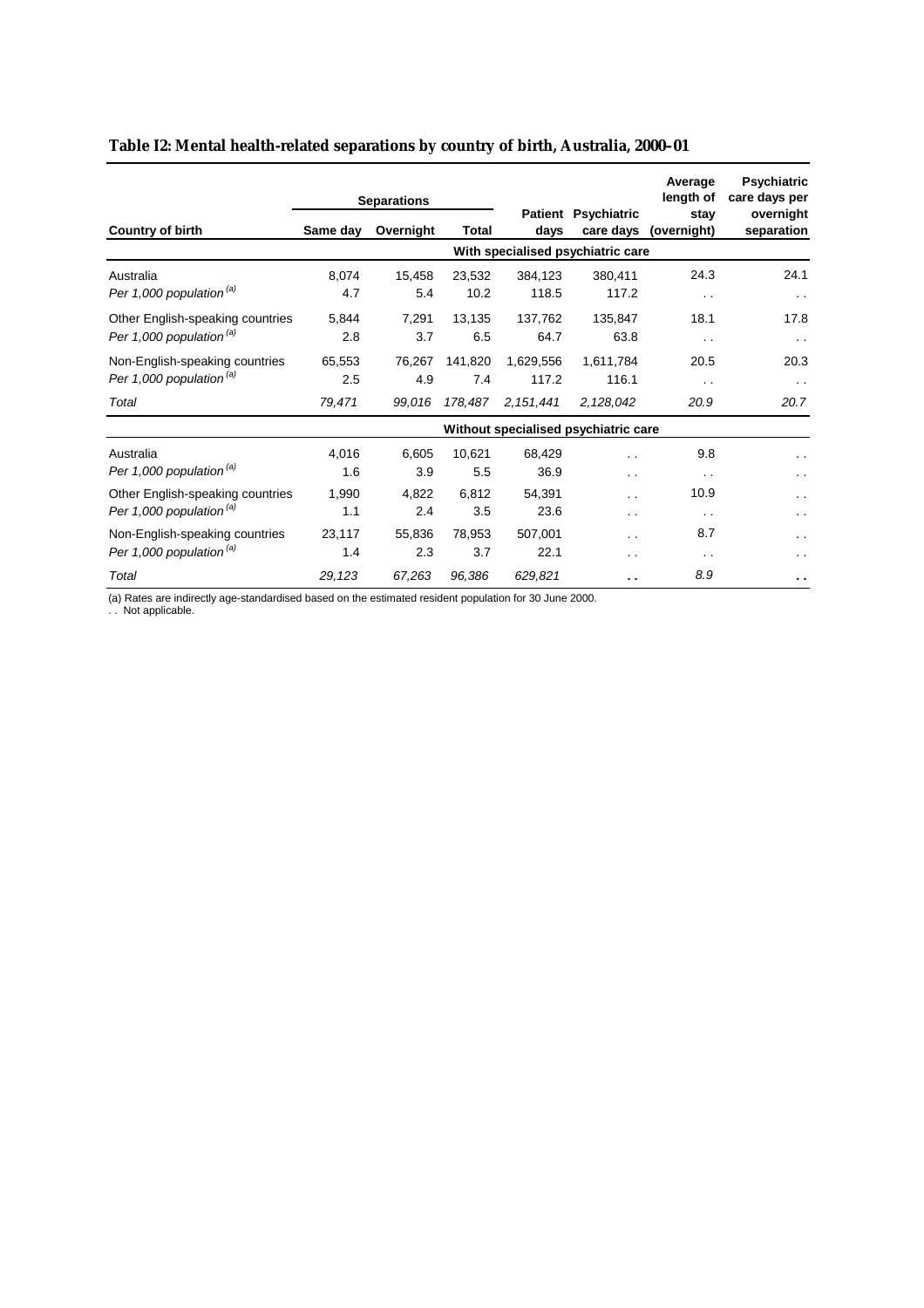|                                     |          | <b>Separations</b> |              |             |                                      | Average<br>length of | <b>Psychiatric</b><br>care days per |
|-------------------------------------|----------|--------------------|--------------|-------------|--------------------------------------|----------------------|-------------------------------------|
| <b>Country of birth</b>             | Same day | Overnight          | <b>Total</b> |             | Patient Psychiatric<br>care days     | stav<br>(overnight)  | overnight<br>separation             |
|                                     |          |                    |              |             | With specialised psychiatric care    |                      |                                     |
| Australia                           | 8,074    | 15,458             | 23,532       | 384,123     | 380,411                              | 24.3                 | 24.1                                |
| Per 1,000 population <sup>(a)</sup> | 4.7      | 5.4                | 10.2         | 118.5       | 117.2                                | $\sim$               | $\sim$ $\sim$                       |
| Other English-speaking countries    | 5,844    | 7,291              | 13,135       | 137,762     | 135,847                              | 18.1                 | 17.8                                |
| Per 1,000 population <sup>(a)</sup> | 2.8      | 3.7                | 6.5          | 64.7        | 63.8                                 | $\sim$ $\sim$        | $\sim$ $\sim$                       |
| Non-English-speaking countries      | 65,553   | 76,267             | 141,820      | 1,629,556   | 1,611,784                            | 20.5                 | 20.3                                |
| Per 1,000 population <sup>(a)</sup> | 2.5      | 4.9                | 7.4          | 117.2       | 116.1                                | $\sim$ $\sim$        | $\sim$ $\sim$                       |
| Total                               | 79,471   | 99.016             | 178,487      | 2, 151, 441 | 2.128.042                            | 20.9                 | 20.7                                |
|                                     |          |                    |              |             | Without specialised psychiatric care |                      |                                     |
| Australia                           | 4.016    | 6.605              | 10,621       | 68,429      | . .                                  | 9.8                  | . .                                 |
| Per 1,000 population <sup>(a)</sup> | 1.6      | 3.9                | 5.5          | 36.9        | . .                                  | $\sim$ $\sim$        | $\cdot$ .                           |
| Other English-speaking countries    | 1,990    | 4,822              | 6,812        | 54,391      | . .                                  | 10.9                 | . .                                 |
| Per 1,000 population <sup>(a)</sup> | 1.1      | 2.4                | 3.5          | 23.6        | $\cdot$ .                            | $\sim$ $\sim$        | . .                                 |
| Non-English-speaking countries      | 23,117   | 55,836             | 78,953       | 507,001     | . .                                  | 8.7                  | . .                                 |
| Per 1,000 population <sup>(a)</sup> | 1.4      | 2.3                | 3.7          | 22.1        | . .                                  | $\sim$ $\sim$        | . .                                 |
| Total                               | 29,123   | 67,263             | 96,386       | 629,821     | . .                                  | 8.9                  | $\sim$ $\sim$                       |

## **Table I2: Mental health-related separations by country of birth, Australia, 2000–01**

(a) Rates are indirectly age-standardised based on the estimated resident population for 30 June 2000.

. . Not applicable.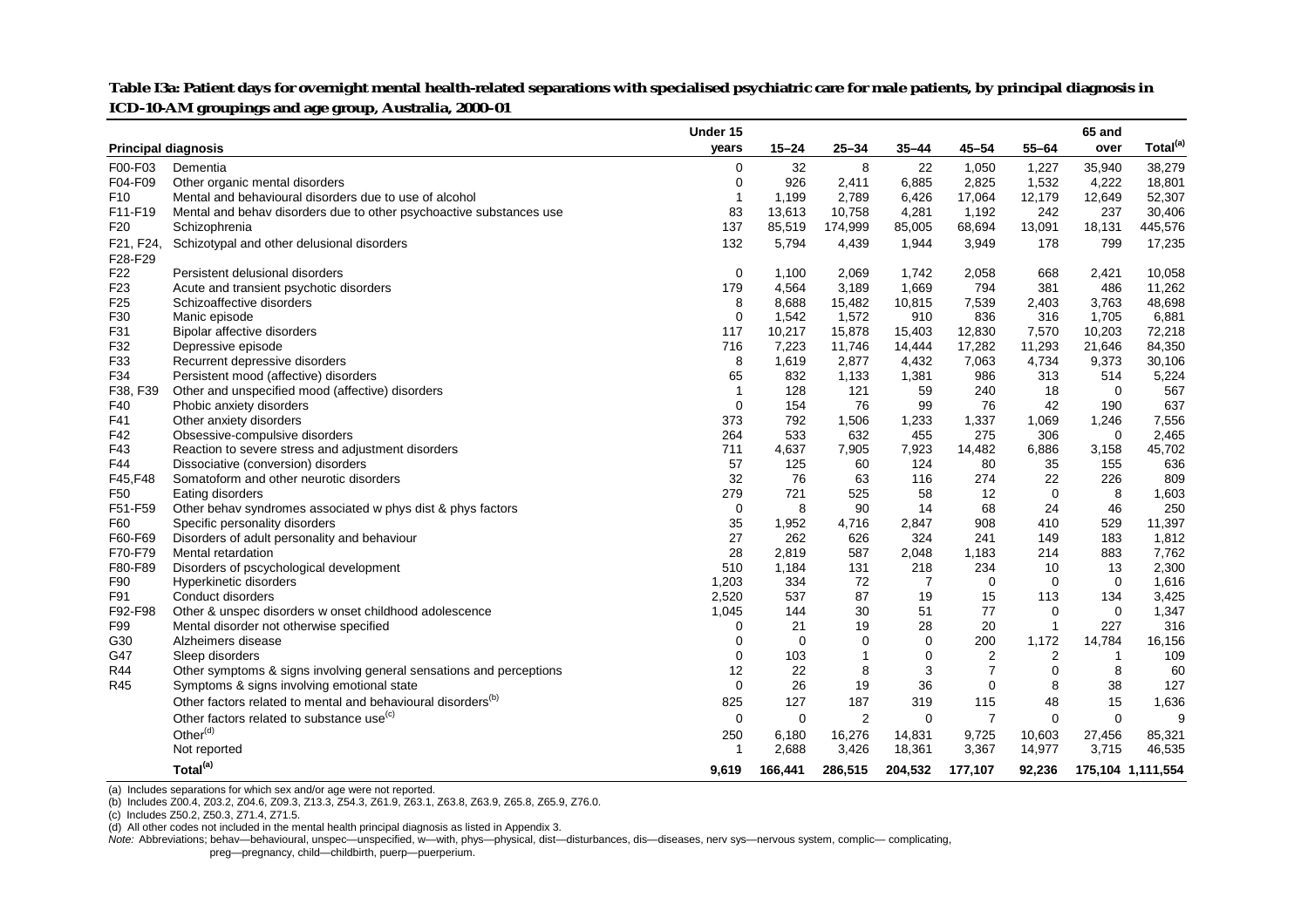|                            |                                                                          | Under 15       |           |                |                |                   |                | 65 and       |                      |
|----------------------------|--------------------------------------------------------------------------|----------------|-----------|----------------|----------------|-------------------|----------------|--------------|----------------------|
| <b>Principal diagnosis</b> |                                                                          | years          | $15 - 24$ | $25 - 34$      | $35 - 44$      | $45 - 54$         | $55 - 64$      | over         | Total <sup>(a)</sup> |
| F00-F03                    | Dementia                                                                 | $\mathbf 0$    | 32        | 8              | 22             | 1,050             | 1,227          | 35,940       | 38,279               |
| F04-F09                    | Other organic mental disorders                                           | $\mathbf 0$    | 926       | 2,411          | 6,885          | 2,825             | 1,532          | 4,222        | 18,801               |
| F <sub>10</sub>            | Mental and behavioural disorders due to use of alcohol                   | $\overline{1}$ | 1,199     | 2,789          | 6,426          | 17,064            | 12,179         | 12,649       | 52,307               |
| F11-F19                    | Mental and behav disorders due to other psychoactive substances use      | 83             | 13,613    | 10,758         | 4,281          | 1,192             | 242            | 237          | 30,406               |
| F <sub>20</sub>            | Schizophrenia                                                            | 137            | 85,519    | 174,999        | 85,005         | 68,694            | 13,091         | 18,131       | 445,576              |
| F21, F24,                  | Schizotypal and other delusional disorders                               | 132            | 5,794     | 4,439          | 1,944          | 3,949             | 178            | 799          | 17,235               |
| F28-F29                    |                                                                          |                |           |                |                |                   |                |              |                      |
| F <sub>22</sub>            | Persistent delusional disorders                                          | $\mathbf 0$    | 1,100     | 2,069          | 1,742          | 2,058             | 668            | 2,421        | 10,058               |
| F <sub>23</sub>            | Acute and transient psychotic disorders                                  | 179            | 4,564     | 3,189          | 1,669          | 794               | 381            | 486          | 11,262               |
| F <sub>25</sub>            | Schizoaffective disorders                                                | 8              | 8,688     | 15,482         | 10,815         | 7,539             | 2,403          | 3,763        | 48,698               |
| F30                        | Manic episode                                                            | $\mathbf 0$    | 1,542     | 1,572          | 910            | 836               | 316            | 1,705        | 6,881                |
| F31                        | Bipolar affective disorders                                              | 117            | 10,217    | 15,878         | 15,403         | 12,830            | 7,570          | 10,203       | 72,218               |
| F32                        | Depressive episode                                                       | 716            | 7,223     | 11,746         | 14,444         | 17,282            | 11,293         | 21,646       | 84,350               |
| F33                        | Recurrent depressive disorders                                           | 8              | 1,619     | 2,877          | 4,432          | 7,063             | 4,734          | 9,373        | 30,106               |
| F34                        | Persistent mood (affective) disorders                                    | 65             | 832       | 1,133          | 1,381          | 986               | 313            | 514          | 5,224                |
| F38, F39                   | Other and unspecified mood (affective) disorders                         | $\overline{1}$ | 128       | 121            | 59             | 240               | 18             | $\mathbf 0$  | 567                  |
| F40                        | Phobic anxiety disorders                                                 | $\mathbf 0$    | 154       | 76             | 99             | 76                | 42             | 190          | 637                  |
| F41                        | Other anxiety disorders                                                  | 373            | 792       | 1,506          | 1,233          | 1,337             | 1,069          | 1,246        | 7,556                |
| F42                        | Obsessive-compulsive disorders                                           | 264            | 533       | 632            | 455            | 275               | 306            | $\mathbf 0$  | 2,465                |
| F43                        | Reaction to severe stress and adjustment disorders                       | 711            | 4,637     | 7,905          | 7,923          | 14,482            | 6,886          | 3,158        | 45,702               |
| F44                        | Dissociative (conversion) disorders                                      | 57             | 125       | 60             | 124            | 80                | 35             | 155          | 636                  |
| F45, F48                   | Somatoform and other neurotic disorders                                  | 32             | 76        | 63             | 116            | 274               | 22             | 226          | 809                  |
| F50                        | Eating disorders                                                         | 279            | 721       | 525            | 58             | $12 \overline{ }$ | $\mathbf 0$    | 8            | 1,603                |
| F51-F59                    | Other behav syndromes associated w phys dist & phys factors              | $\mathbf 0$    | 8         | 90             | 14             | 68                | 24             | 46           | 250                  |
| F60                        | Specific personality disorders                                           | 35             | 1,952     | 4,716          | 2,847          | 908               | 410            | 529          | 11,397               |
| F60-F69                    | Disorders of adult personality and behaviour                             | 27             | 262       | 626            | 324            | 241               | 149            | 183          | 1,812                |
| F70-F79                    | Mental retardation                                                       | 28             | 2,819     | 587            | 2,048          | 1,183             | 214            | 883          | 7,762                |
| F80-F89                    | Disorders of pscychological development                                  | 510            | 1,184     | 131            | 218            | 234               | 10             | 13           | 2,300                |
| F90                        | Hyperkinetic disorders                                                   | 1,203          | 334       | 72             | $\overline{7}$ | $\mathbf 0$       | $\Omega$       | $\Omega$     | 1,616                |
| F91                        | Conduct disorders                                                        | 2,520          | 537       | 87             | 19             | 15                | 113            | 134          | 3,425                |
| F92-F98                    | Other & unspec disorders w onset childhood adolescence                   | 1,045          | 144       | 30             | 51             | 77                | 0              | 0            | 1,347                |
| F99                        | Mental disorder not otherwise specified                                  | $\Omega$       | 21        | 19             | 28             | 20                | $\mathbf{1}$   | 227          | 316                  |
| G30                        | Alzheimers disease                                                       | 0              | $\Omega$  | 0              | 0              | 200               | 1,172          | 14,784       | 16,156               |
| G47                        | Sleep disorders                                                          | $\mathbf 0$    | 103       | $\mathbf{1}$   | $\mathbf 0$    | 2                 | $\overline{2}$ | $\mathbf{1}$ | 109                  |
| <b>R44</b>                 | Other symptoms & signs involving general sensations and perceptions      | 12             | 22        | 8              | 3              | $\overline{7}$    | $\Omega$       | 8            | 60                   |
| R45                        | Symptoms & signs involving emotional state                               | $\mathbf 0$    | 26        | 19             | 36             | $\mathbf 0$       | 8              | 38           | 127                  |
|                            | Other factors related to mental and behavioural disorders <sup>(b)</sup> | 825            | 127       | 187            | 319            | 115               | 48             | 15           | 1,636                |
|                            | Other factors related to substance use <sup>(c)</sup>                    | 0              | 0         | $\overline{c}$ | 0              | $\overline{7}$    | $\mathbf 0$    | $\mathbf 0$  | 9                    |
|                            | Other <sup>(d)</sup>                                                     | 250            | 6,180     | 16,276         | 14,831         | 9,725             | 10,603         | 27,456       | 85,321               |
|                            | Not reported                                                             | -1             | 2,688     | 3,426          | 18,361         | 3,367             | 14,977         | 3,715        | 46,535               |
|                            | Total <sup>(a)</sup>                                                     | 9,619          | 166,441   | 286,515        | 204,532        | 177,107           | 92,236         |              | 175,104 1,111,554    |

Table I3a: Patient days for overnight mental health-related separations with specialised psychiatric care for male patients, by principal diagnosis in **ICD-10-AM groupings and age group, Australia, 2000–01**

(a) Includes separations for which sex and/or age were not reported.

(b) Includes Z00.4, Z03.2, Z04.6, Z09.3, Z13.3, Z54.3, Z61.9, Z63.1, Z63.8, Z63.9, Z65.8, Z65.9, Z76.0.

(c) Includes Z50.2, Z50.3, Z71.4, Z71.5.

(d) All other codes not included in the mental health principal diagnosis as listed in Appendix 3.

*Note:* Abbreviations; behav—behavioural, unspec—unspecified, w—with, phys—physical, dist—disturbances, dis—diseases, nerv sys—nervous system, complic— complicating,

preg—pregnancy, child—childbirth, puerp—puerperium.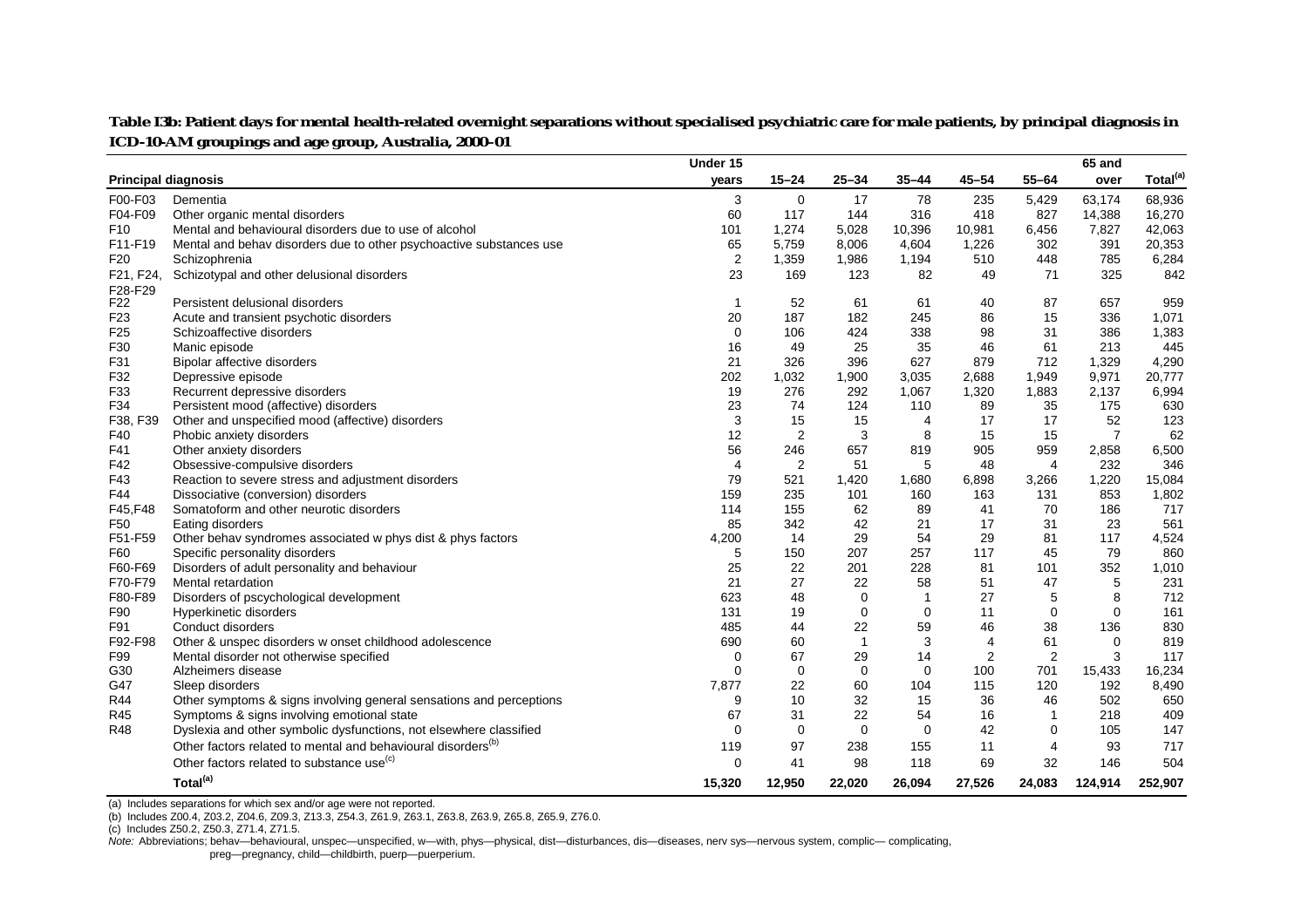|                            |                                                                          | Under 15       |                |              |                          |                |                | 65 and         |                      |
|----------------------------|--------------------------------------------------------------------------|----------------|----------------|--------------|--------------------------|----------------|----------------|----------------|----------------------|
| <b>Principal diagnosis</b> |                                                                          | years          | $15 - 24$      | $25 - 34$    | $35 - 44$                | $45 - 54$      | $55 - 64$      | over           | Total <sup>(a)</sup> |
| F00-F03                    | Dementia                                                                 | 3              | 0              | 17           | 78                       | 235            | 5,429          | 63,174         | 68,936               |
| F04-F09                    | Other organic mental disorders                                           | 60             | 117            | 144          | 316                      | 418            | 827            | 14,388         | 16,270               |
| F <sub>10</sub>            | Mental and behavioural disorders due to use of alcohol                   | 101            | 1,274          | 5,028        | 10,396                   | 10,981         | 6,456          | 7,827          | 42,063               |
| F11-F19                    | Mental and behav disorders due to other psychoactive substances use      | 65             | 5,759          | 8,006        | 4,604                    | 1,226          | 302            | 391            | 20,353               |
| F <sub>20</sub>            | Schizophrenia                                                            | 2              | 1,359          | 1,986        | 1,194                    | 510            | 448            | 785            | 6,284                |
| F21, F24,                  | Schizotypal and other delusional disorders                               | 23             | 169            | 123          | 82                       | 49             | 71             | 325            | 842                  |
| F28-F29                    |                                                                          |                |                |              |                          |                |                |                |                      |
| F22                        | Persistent delusional disorders                                          | -1             | 52             | 61           | 61                       | 40             | 87             | 657            | 959                  |
| F <sub>23</sub>            | Acute and transient psychotic disorders                                  | 20             | 187            | 182          | 245                      | 86             | 15             | 336            | 1,071                |
| F <sub>25</sub>            | Schizoaffective disorders                                                | $\mathbf 0$    | 106            | 424          | 338                      | 98             | 31             | 386            | 1,383                |
| F30                        | Manic episode                                                            | 16             | 49             | 25           | 35                       | 46             | 61             | 213            | 445                  |
| F31                        | Bipolar affective disorders                                              | 21             | 326            | 396          | 627                      | 879            | 712            | 1,329          | 4,290                |
| F32                        | Depressive episode                                                       | 202            | 1,032          | 1,900        | 3,035                    | 2,688          | 1,949          | 9,971          | 20,777               |
| F33                        | Recurrent depressive disorders                                           | 19             | 276            | 292          | 1,067                    | 1,320          | 1,883          | 2,137          | 6,994                |
| F34                        | Persistent mood (affective) disorders                                    | 23             | 74             | 124          | 110                      | 89             | 35             | 175            | 630                  |
| F38, F39                   | Other and unspecified mood (affective) disorders                         | 3              | 15             | 15           | 4                        | 17             | 17             | 52             | 123                  |
| F40                        | Phobic anxiety disorders                                                 | 12             | $\overline{2}$ | 3            | 8                        | 15             | 15             | $\overline{7}$ | 62                   |
| F41                        | Other anxiety disorders                                                  | 56             | 246            | 657          | 819                      | 905            | 959            | 2,858          | 6,500                |
| F42                        | Obsessive-compulsive disorders                                           | $\overline{4}$ | $\overline{2}$ | 51           | 5                        | 48             | $\overline{4}$ | 232            | 346                  |
| F43                        | Reaction to severe stress and adjustment disorders                       | 79             | 521            | 1,420        | 1,680                    | 6,898          | 3,266          | 1,220          | 15,084               |
| F44                        | Dissociative (conversion) disorders                                      | 159            | 235            | 101          | 160                      | 163            | 131            | 853            | 1,802                |
| F45,F48                    | Somatoform and other neurotic disorders                                  | 114            | 155            | 62           | 89                       | 41             | 70             | 186            | 717                  |
| F <sub>50</sub>            | Eating disorders                                                         | 85             | 342            | 42           | 21                       | 17             | 31             | 23             | 561                  |
| F51-F59                    | Other behav syndromes associated w phys dist & phys factors              | 4,200          | 14             | 29           | 54                       | 29             | 81             | 117            | 4,524                |
| F60                        | Specific personality disorders                                           | 5              | 150            | 207          | 257                      | 117            | 45             | 79             | 860                  |
| F60-F69                    | Disorders of adult personality and behaviour                             | 25             | 22             | 201          | 228                      | 81             | 101            | 352            | 1,010                |
| F70-F79                    | Mental retardation                                                       | 21             | 27             | 22           | 58                       | 51             | 47             | 5              | 231                  |
| F80-F89                    | Disorders of pscychological development                                  | 623            | 48             | 0            | $\overline{\phantom{a}}$ | 27             | 5              | 8              | 712                  |
| F90                        | Hyperkinetic disorders                                                   | 131            | 19             | $\mathbf 0$  | $\mathbf 0$              | 11             | 0              | 0              | 161                  |
| F91                        | Conduct disorders                                                        | 485            | 44             | 22           | 59                       | 46             | 38             | 136            | 830                  |
| F92-F98                    | Other & unspec disorders w onset childhood adolescence                   | 690            | 60             | $\mathbf{1}$ | 3                        | $\overline{4}$ | 61             | $\mathbf 0$    | 819                  |
| F99                        | Mental disorder not otherwise specified                                  | $\mathbf 0$    | 67             | 29           | 14                       | $\overline{2}$ | $\overline{2}$ | 3              | 117                  |
| G30                        | Alzheimers disease                                                       | $\Omega$       | $\mathbf 0$    | $\mathbf 0$  | $\mathbf 0$              | 100            | 701            | 15,433         | 16,234               |
| G47                        | Sleep disorders                                                          | 7,877          | 22             | 60           | 104                      | 115            | 120            | 192            | 8,490                |
| <b>R44</b>                 | Other symptoms & signs involving general sensations and perceptions      | 9              | 10             | 32           | 15                       | 36             | 46             | 502            | 650                  |
| R45                        | Symptoms & signs involving emotional state                               | 67             | 31             | 22           | 54                       | 16             | $\mathbf{1}$   | 218            | 409                  |
| <b>R48</b>                 | Dyslexia and other symbolic dysfunctions, not elsewhere classified       | $\Omega$       | $\mathbf 0$    | $\mathbf 0$  | $\mathbf 0$              | 42             | 0              | 105            | 147                  |
|                            | Other factors related to mental and behavioural disorders <sup>(b)</sup> | 119            | 97             | 238          | 155                      | 11             | 4              | 93             | 717                  |
|                            | Other factors related to substance use <sup>(c)</sup>                    | $\Omega$       | 41             | 98           | 118                      | 69             | 32             | 146            | 504                  |
|                            | Total <sup>(a)</sup>                                                     | 15,320         | 12,950         | 22,020       | 26,094                   | 27,526         | 24,083         | 124,914        | 252,907              |

Table I3b: Patient days for mental health-related overnight separations without specialised psychiatric care for male patients, by principal diagnosis in **ICD-10-AM groupings and age group, Australia, 2000–01**

(a) Includes separations for which sex and/or age were not reported.

(b) Includes Z00.4, Z03.2, Z04.6, Z09.3, Z13.3, Z54.3, Z61.9, Z63.1, Z63.8, Z63.9, Z65.8, Z65.9, Z76.0.

(c) Includes Z50.2, Z50.3, Z71.4, Z71.5.

*Note:* Abbreviations; behav—behavioural, unspec—unspecified, w—with, phys—physical, dist—disturbances, dis—diseases, nerv sys—nervous system, complic— complicating, preg—pregnancy, child—childbirth, puerp—puerperium.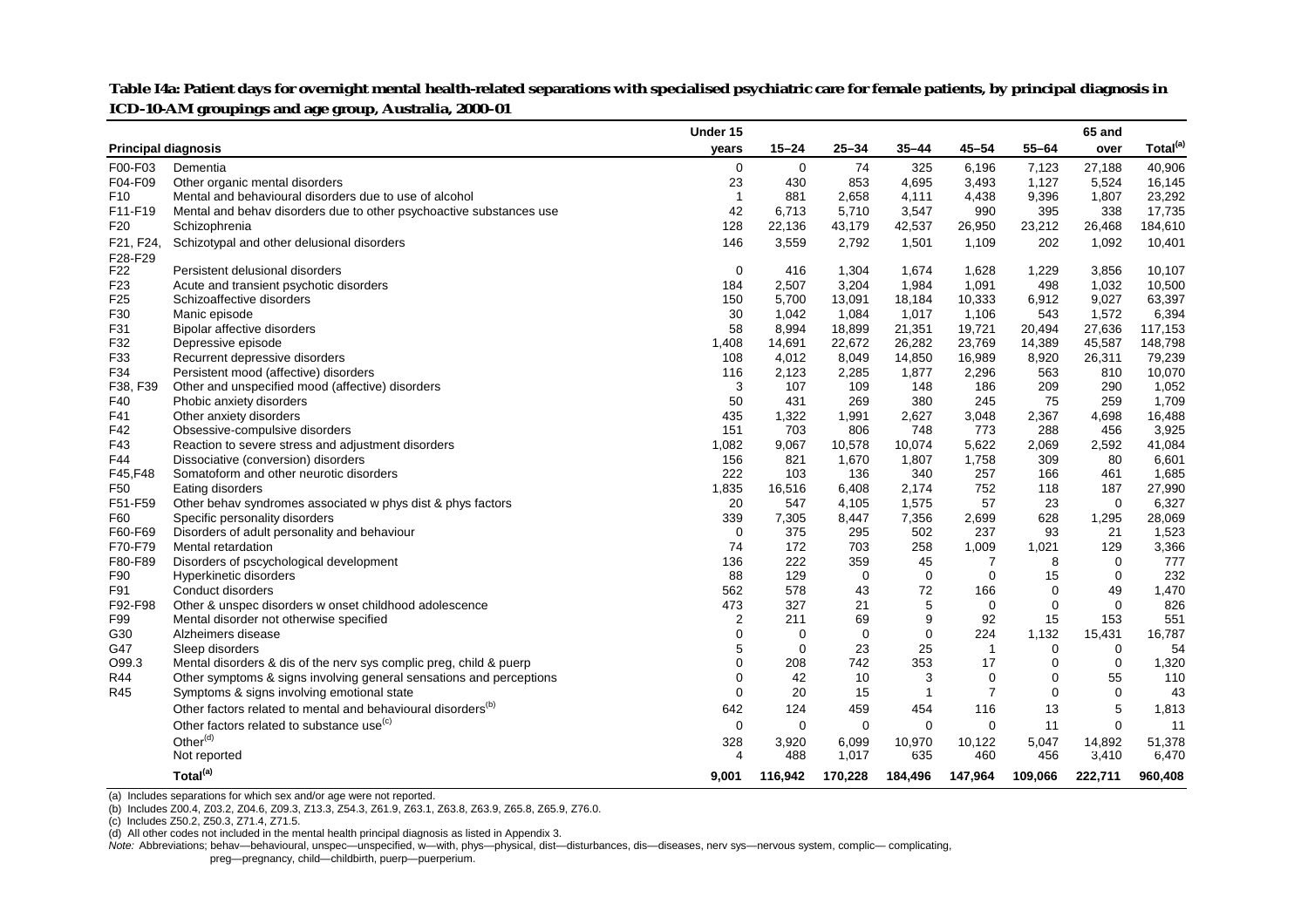|                 |                                                                          | Under 15                |             |             |             |                |             | 65 and      |                      |
|-----------------|--------------------------------------------------------------------------|-------------------------|-------------|-------------|-------------|----------------|-------------|-------------|----------------------|
|                 | <b>Principal diagnosis</b>                                               | years                   | $15 - 24$   | $25 - 34$   | $35 - 44$   | $45 - 54$      | $55 - 64$   | over        | Total <sup>(a)</sup> |
| F00-F03         | Dementia                                                                 | $\mathbf 0$             | $\mathbf 0$ | 74          | 325         | 6,196          | 7,123       | 27,188      | 40,906               |
| F04-F09         | Other organic mental disorders                                           | 23                      | 430         | 853         | 4,695       | 3,493          | 1,127       | 5,524       | 16,145               |
| F <sub>10</sub> | Mental and behavioural disorders due to use of alcohol                   | $\overline{1}$          | 881         | 2,658       | 4,111       | 4,438          | 9,396       | 1,807       | 23,292               |
| F11-F19         | Mental and behav disorders due to other psychoactive substances use      | 42                      | 6,713       | 5,710       | 3,547       | 990            | 395         | 338         | 17,735               |
| F <sub>20</sub> | Schizophrenia                                                            | 128                     | 22,136      | 43,179      | 42,537      | 26,950         | 23,212      | 26,468      | 184,610              |
| F21, F24,       | Schizotypal and other delusional disorders                               | 146                     | 3,559       | 2,792       | 1,501       | 1,109          | 202         | 1,092       | 10,401               |
| F28-F29         |                                                                          |                         |             |             |             |                |             |             |                      |
| F22             | Persistent delusional disorders                                          | $\mathbf 0$             | 416         | 1,304       | 1,674       | 1,628          | 1,229       | 3,856       | 10,107               |
| F <sub>23</sub> | Acute and transient psychotic disorders                                  | 184                     | 2,507       | 3,204       | 1,984       | 1,091          | 498         | 1,032       | 10,500               |
| F <sub>25</sub> | Schizoaffective disorders                                                | 150                     | 5,700       | 13,091      | 18,184      | 10,333         | 6,912       | 9,027       | 63,397               |
| F30             | Manic episode                                                            | 30                      | 1,042       | 1,084       | 1,017       | 1,106          | 543         | 1,572       | 6,394                |
| F31             | Bipolar affective disorders                                              | 58                      | 8,994       | 18,899      | 21,351      | 19,721         | 20,494      | 27,636      | 117,153              |
| F32             | Depressive episode                                                       | 1,408                   | 14,691      | 22,672      | 26,282      | 23,769         | 14,389      | 45,587      | 148,798              |
| F33             | Recurrent depressive disorders                                           | 108                     | 4,012       | 8,049       | 14,850      | 16,989         | 8,920       | 26,311      | 79,239               |
| F34             | Persistent mood (affective) disorders                                    | 116                     | 2,123       | 2,285       | 1,877       | 2,296          | 563         | 810         | 10,070               |
| F38, F39        | Other and unspecified mood (affective) disorders                         | 3                       | 107         | 109         | 148         | 186            | 209         | 290         | 1,052                |
| F40             | Phobic anxiety disorders                                                 | 50                      | 431         | 269         | 380         | 245            | 75          | 259         | 1,709                |
| F41             | Other anxiety disorders                                                  | 435                     | 1,322       | 1,991       | 2,627       | 3,048          | 2,367       | 4,698       | 16,488               |
| F42             | Obsessive-compulsive disorders                                           | 151                     | 703         | 806         | 748         | 773            | 288         | 456         | 3,925                |
| F43             | Reaction to severe stress and adjustment disorders                       | 1,082                   | 9,067       | 10,578      | 10,074      | 5,622          | 2,069       | 2,592       | 41,084               |
| F44             | Dissociative (conversion) disorders                                      | 156                     | 821         | 1,670       | 1,807       | 1,758          | 309         | 80          | 6,601                |
| F45, F48        | Somatoform and other neurotic disorders                                  | 222                     | 103         | 136         | 340         | 257            | 166         | 461         | 1,685                |
| F50             | Eating disorders                                                         | 1,835                   | 16,516      | 6,408       | 2,174       | 752            | 118         | 187         | 27,990               |
| F51-F59         | Other behav syndromes associated w phys dist & phys factors              | 20                      | 547         | 4,105       | 1,575       | 57             | 23          | $\mathbf 0$ | 6,327                |
| F60             | Specific personality disorders                                           | 339                     | 7,305       | 8,447       | 7,356       | 2,699          | 628         | 1,295       | 28,069               |
| F60-F69         | Disorders of adult personality and behaviour                             | $\Omega$                | 375         | 295         | 502         | 237            | 93          | 21          | 1,523                |
| F70-F79         | Mental retardation                                                       | 74                      | 172         | 703         | 258         | 1,009          | 1,021       | 129         | 3,366                |
| F80-F89         | Disorders of pscychological development                                  | 136                     | 222         | 359         | 45          | 7              | 8           | $\mathbf 0$ | 777                  |
| F90             | Hyperkinetic disorders                                                   | 88                      | 129         | $\mathbf 0$ | $\mathbf 0$ | $\mathbf 0$    | 15          | $\mathbf 0$ | 232                  |
| F91             | Conduct disorders                                                        | 562                     | 578         | 43          | 72          | 166            | $\mathbf 0$ | 49          | 1,470                |
| F92-F98         | Other & unspec disorders w onset childhood adolescence                   | 473                     | 327         | 21          | 5           | $\mathbf 0$    | $\mathbf 0$ | $\mathbf 0$ | 826                  |
| F99             | Mental disorder not otherwise specified                                  | $\overline{\mathbf{c}}$ | 211         | 69          | 9           | 92             | 15          | 153         | 551                  |
| G30             | Alzheimers disease                                                       | $\mathbf 0$             | $\mathbf 0$ | $\mathbf 0$ | $\mathbf 0$ | 224            | 1,132       | 15,431      | 16,787               |
| G47             | Sleep disorders                                                          | 5                       | $\mathbf 0$ | 23          | 25          | $\overline{1}$ | 0           | 0           | 54                   |
| O99.3           | Mental disorders & dis of the nerv sys complic preg, child & puerp       | $\mathbf 0$             | 208         | 742         | 353         | 17             | $\mathbf 0$ | $\mathbf 0$ | 1,320                |
| R44             | Other symptoms & signs involving general sensations and perceptions      | 0                       | 42          | 10          | 3           | $\mathbf 0$    | $\mathbf 0$ | 55          | 110                  |
| R45             | Symptoms & signs involving emotional state                               | $\mathbf 0$             | 20          | 15          | 1           | $\overline{7}$ | $\mathbf 0$ | $\mathbf 0$ | 43                   |
|                 | Other factors related to mental and behavioural disorders <sup>(b)</sup> | 642                     | 124         | 459         | 454         | 116            | 13          | $\,$ 5 $\,$ | 1,813                |
|                 | Other factors related to substance use <sup>(c)</sup>                    | $\mathbf 0$             | 0           | 0           | $\mathbf 0$ | 0              | 11          | $\mathbf 0$ | 11                   |
|                 | Other <sup>(d)</sup>                                                     | 328                     | 3,920       | 6,099       | 10,970      | 10,122         | 5,047       | 14,892      | 51,378               |
|                 | Not reported                                                             | 4                       | 488         | 1,017       | 635         | 460            | 456         | 3,410       | 6,470                |
|                 | Total <sup>(a)</sup>                                                     | 9,001                   | 116,942     | 170,228     | 184,496     | 147,964        | 109,066     | 222,711     | 960,408              |
|                 |                                                                          |                         |             |             |             |                |             |             |                      |

Table I4a: Patient days for overnight mental health-related separations with specialised psychiatric care for female patients, by principal diagnosis in **ICD-10-AM groupings and age group, Australia, 2000–01**

(a) Includes separations for which sex and/or age were not reported.

(b) Includes Z00.4, Z03.2, Z04.6, Z09.3, Z13.3, Z54.3, Z61.9, Z63.1, Z63.8, Z63.9, Z65.8, Z65.9, Z76.0.

(c) Includes Z50.2, Z50.3, Z71.4, Z71.5.

(d) All other codes not included in the mental health principal diagnosis as listed in Appendix 3.

Note: Abbreviations; behav—behavioural, unspec—unspecified, w—with, phys—physical, dist—disturbances, dis—diseases, nerv sys—nervous system, complic- complicating, preg—pregnancy, child—childbirth, puerp—puerperium.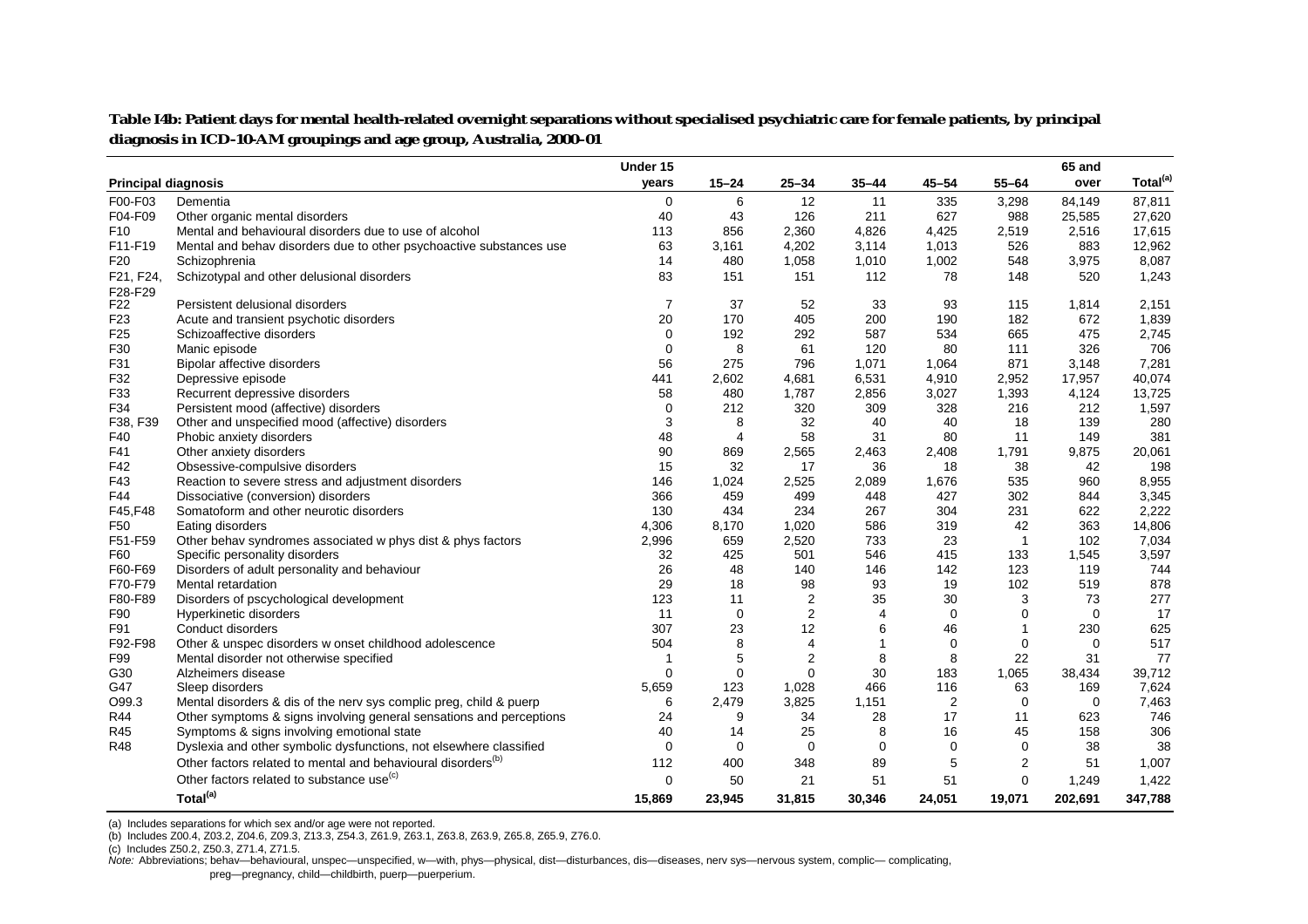|                 |                                                                          | Under 15       |           |                  |                |                |              | 65 and         |                      |
|-----------------|--------------------------------------------------------------------------|----------------|-----------|------------------|----------------|----------------|--------------|----------------|----------------------|
|                 | <b>Principal diagnosis</b>                                               | vears          | $15 - 24$ | $25 - 34$        | $35 - 44$      | $45 - 54$      | $55 - 64$    | over           | Total <sup>(a)</sup> |
| F00-F03         | Dementia                                                                 | $\mathbf 0$    | 6         | 12               | 11             | 335            | 3,298        | 84,149         | 87,811               |
| F04-F09         | Other organic mental disorders                                           | 40             | 43        | 126              | 211            | 627            | 988          | 25,585         | 27,620               |
| F <sub>10</sub> | Mental and behavioural disorders due to use of alcohol                   | 113            | 856       | 2,360            | 4,826          | 4,425          | 2,519        | 2,516          | 17,615               |
| F11-F19         | Mental and behav disorders due to other psychoactive substances use      | 63             | 3,161     | 4,202            | 3,114          | 1,013          | 526          | 883            | 12,962               |
| F <sub>20</sub> | Schizophrenia                                                            | 14             | 480       | 1,058            | 1,010          | 1,002          | 548          | 3,975          | 8,087                |
| F21, F24,       | Schizotypal and other delusional disorders                               | 83             | 151       | 151              | 112            | 78             | 148          | 520            | 1,243                |
| F28-F29         |                                                                          |                |           |                  |                |                |              |                |                      |
| F22             | Persistent delusional disorders                                          | $\overline{7}$ | 37        | 52               | 33             | 93             | 115          | 1,814          | 2,151                |
| F <sub>23</sub> | Acute and transient psychotic disorders                                  | 20             | 170       | 405              | 200            | 190            | 182          | 672            | 1,839                |
| F <sub>25</sub> | Schizoaffective disorders                                                | 0              | 192       | 292              | 587            | 534            | 665          | 475            | 2,745                |
| F30             | Manic episode                                                            | 0              | 8         | 61               | 120            | 80             | 111          | 326            | 706                  |
| F31             | Bipolar affective disorders                                              | 56             | 275       | 796              | 1,071          | 1,064          | 871          | 3,148          | 7,281                |
| F32             | Depressive episode                                                       | 441            | 2,602     | 4,681            | 6,531          | 4,910          | 2,952        | 17,957         | 40,074               |
| F33             | Recurrent depressive disorders                                           | 58             | 480       | 1,787            | 2,856          | 3,027          | 1,393        | 4,124          | 13,725               |
| F34             | Persistent mood (affective) disorders                                    | 0              | 212       | 320              | 309            | 328            | 216          | 212            | 1,597                |
| F38, F39        | Other and unspecified mood (affective) disorders                         | 3              | 8         | 32               | 40             | 40             | 18           | 139            | 280                  |
| F40             | Phobic anxiety disorders                                                 | 48             | 4         | 58               | 31             | 80             | 11           | 149            | 381                  |
| F41             | Other anxiety disorders                                                  | 90             | 869       | 2,565            | 2,463          | 2,408          | 1,791        | 9,875          | 20,061               |
| F42             | Obsessive-compulsive disorders                                           | 15             | 32        | 17               | 36             | 18             | 38           | 42             | 198                  |
| F43             | Reaction to severe stress and adjustment disorders                       | 146            | 1,024     | 2,525            | 2,089          | 1,676          | 535          | 960            | 8,955                |
| F44             | Dissociative (conversion) disorders                                      | 366            | 459       | 499              | 448            | 427            | 302          | 844            | 3,345                |
| F45, F48        | Somatoform and other neurotic disorders                                  | 130            | 434       | 234              | 267            | 304            | 231          | 622            | 2,222                |
| F50             | Eating disorders                                                         | 4.306          | 8,170     | 1,020            | 586            | 319            | 42           | 363            | 14,806               |
| F51-F59         | Other behav syndromes associated w phys dist & phys factors              | 2,996          | 659       | 2,520            | 733            | 23             | $\mathbf{1}$ | 102            | 7,034                |
| F60             | Specific personality disorders                                           | 32             | 425       | 501              | 546            | 415            | 133          | 1,545          | 3,597                |
| F60-F69         | Disorders of adult personality and behaviour                             | 26             | 48        | 140              | 146            | 142            | 123          | 119            | 744                  |
| F70-F79         | Mental retardation                                                       | 29             | 18        | 98               | 93             | 19             | 102          | 519            | 878                  |
| F80-F89         | Disorders of pscychological development                                  | 123            | 11        | $\boldsymbol{2}$ | 35             | 30             | 3            | 73             | 277                  |
| F90             | Hyperkinetic disorders                                                   | 11             | 0         | $\overline{2}$   | $\overline{4}$ | $\Omega$       | 0            | $\mathbf 0$    | 17                   |
| F91             | Conduct disorders                                                        | 307            | 23        | 12               | 6              | 46             | 1            | 230            | 625                  |
| F92-F98         | Other & unspec disorders w onset childhood adolescence                   | 504            | 8         | 4                | -1             | 0              | 0            | $\overline{0}$ | 517                  |
| F99             | Mental disorder not otherwise specified                                  | -1             | 5         | $\overline{2}$   | 8              | 8              | 22           | 31             | 77                   |
| G30             | Alzheimers disease                                                       | 0              | $\Omega$  | $\mathbf 0$      | 30             | 183            | 1,065        | 38,434         | 39,712               |
| G47             | Sleep disorders                                                          | 5,659          | 123       | 1,028            | 466            | 116            | 63           | 169            | 7,624                |
| O99.3           | Mental disorders & dis of the nerv sys complic preg, child & puerp       | 6              | 2,479     | 3,825            | 1,151          | $\overline{2}$ | 0            | $\overline{0}$ | 7,463                |
| <b>R44</b>      | Other symptoms & signs involving general sensations and perceptions      | 24             | 9         | 34               | 28             | 17             | 11           | 623            | 746                  |
| R45             | Symptoms & signs involving emotional state                               | 40             | 14        | 25               | 8              | 16             | 45           | 158            | 306                  |
| <b>R48</b>      | Dyslexia and other symbolic dysfunctions, not elsewhere classified       | 0              | 0         | 0                | 0              | 0              | 0            | 38             | 38                   |
|                 | Other factors related to mental and behavioural disorders <sup>(b)</sup> | 112            | 400       | 348              | 89             | 5              | 2            | 51             | 1,007                |
|                 | Other factors related to substance use <sup>(c)</sup>                    | $\Omega$       | 50        | 21               | 51             | 51             | 0            | 1,249          | 1,422                |
|                 | Total <sup>(a)</sup>                                                     |                |           |                  |                |                |              |                |                      |
|                 |                                                                          | 15,869         | 23,945    | 31,815           | 30,346         | 24,051         | 19,071       | 202,691        | 347,788              |

Table I4b: Patient days for mental health-related overnight separations without specialised psychiatric care for female patients, by principal **diagnosis in ICD-10-AM groupings and age group, Australia, 2000–01**

(a) Includes separations for which sex and/or age were not reported.

(b) Includes Z00.4, Z03.2, Z04.6, Z09.3, Z13.3, Z54.3, Z61.9, Z63.1, Z63.8, Z63.9, Z65.8, Z65.9, Z76.0.

(c) Includes Z50.2, Z50.3, Z71.4, Z71.5.

Note: Abbreviations; behav—behavioural, unspec—unspecified, w—with, phys—physical, dist—disturbances, dis—diseases, nerv sys—nervous system, complic- complicating, preg—pregnancy, child—childbirth, puerp—puerperium.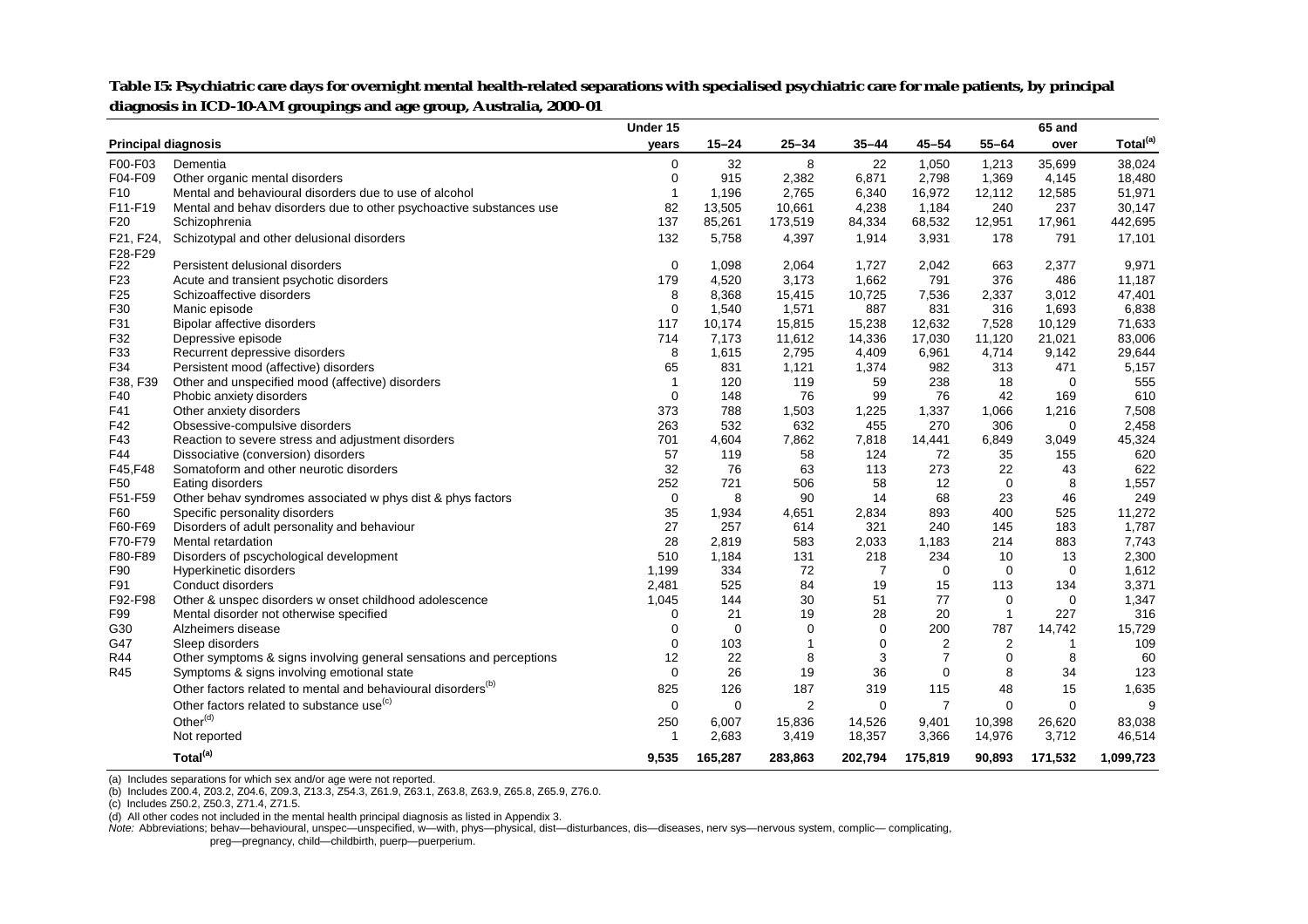|                            |                                                                          | Under 15       |             |                |                |                |                | 65 and       |                      |
|----------------------------|--------------------------------------------------------------------------|----------------|-------------|----------------|----------------|----------------|----------------|--------------|----------------------|
| <b>Principal diagnosis</b> |                                                                          | years          | $15 - 24$   | $25 - 34$      | $35 - 44$      | $45 - 54$      | $55 - 64$      | over         | Total <sup>(a)</sup> |
| F00-F03                    | Dementia                                                                 | 0              | 32          | 8              | 22             | 1,050          | 1,213          | 35,699       | 38,024               |
| F04-F09                    | Other organic mental disorders                                           | $\mathbf 0$    | 915         | 2,382          | 6,871          | 2,798          | 1,369          | 4,145        | 18,480               |
| F <sub>10</sub>            | Mental and behavioural disorders due to use of alcohol                   | $\overline{1}$ | 1.196       | 2,765          | 6,340          | 16,972         | 12,112         | 12,585       | 51,971               |
| F11-F19                    | Mental and behav disorders due to other psychoactive substances use      | 82             | 13,505      | 10,661         | 4,238          | 1,184          | 240            | 237          | 30,147               |
| F <sub>20</sub>            | Schizophrenia                                                            | 137            | 85,261      | 173,519        | 84,334         | 68,532         | 12,951         | 17,961       | 442,695              |
| F21, F24,                  | Schizotypal and other delusional disorders                               | 132            | 5,758       | 4,397          | 1,914          | 3,931          | 178            | 791          | 17,101               |
| F28-F29<br>F <sub>22</sub> | Persistent delusional disorders                                          | $\mathbf 0$    | 1,098       | 2,064          | 1,727          | 2,042          | 663            | 2,377        | 9,971                |
| F <sub>23</sub>            | Acute and transient psychotic disorders                                  | 179            | 4,520       | 3,173          | 1,662          | 791            | 376            | 486          | 11,187               |
| F <sub>25</sub>            | Schizoaffective disorders                                                | 8              | 8,368       | 15,415         | 10,725         | 7,536          | 2,337          | 3,012        | 47,401               |
| F30                        | Manic episode                                                            | 0              | 1,540       | 1,571          | 887            | 831            | 316            | 1,693        | 6,838                |
| F31                        | Bipolar affective disorders                                              | 117            | 10,174      | 15,815         | 15,238         | 12,632         | 7,528          | 10,129       | 71,633               |
| F32                        | Depressive episode                                                       | 714            | 7,173       | 11,612         | 14,336         | 17,030         | 11,120         | 21,021       | 83,006               |
| F33                        | Recurrent depressive disorders                                           | 8              | 1,615       | 2,795          | 4,409          | 6,961          | 4,714          |              | 29,644               |
| F34                        | Persistent mood (affective) disorders                                    | 65             | 831         | 1,121          | 1,374          | 982            | 313            | 9,142<br>471 | 5,157                |
| F38, F39                   | Other and unspecified mood (affective) disorders                         | $\mathbf 1$    | 120         | 119            | 59             | 238            | 18             | $\mathbf 0$  | 555                  |
| F40                        | Phobic anxiety disorders                                                 | $\Omega$       | 148         | 76             | 99             | 76             | 42             | 169          | 610                  |
| F41                        | Other anxiety disorders                                                  | 373            | 788         | 1,503          | 1,225          | 1,337          | 1,066          | 1,216        | 7,508                |
| F42                        | Obsessive-compulsive disorders                                           | 263            | 532         | 632            | 455            | 270            | 306            | $\mathbf 0$  | 2,458                |
| F43                        | Reaction to severe stress and adjustment disorders                       | 701            | 4,604       | 7,862          | 7,818          | 14,441         | 6,849          | 3,049        | 45,324               |
| F44                        | Dissociative (conversion) disorders                                      | 57             | 119         | 58             | 124            | 72             | 35             | 155          | 620                  |
| F45, F48                   | Somatoform and other neurotic disorders                                  | 32             | 76          | 63             | 113            | 273            | 22             | 43           | 622                  |
| F50                        | Eating disorders                                                         | 252            | 721         | 506            | 58             | 12             | $\mathbf 0$    | 8            | 1,557                |
| F51-F59                    | Other behav syndromes associated w phys dist & phys factors              | $\mathbf 0$    | 8           | 90             | 14             | 68             | 23             | 46           | 249                  |
| F60                        | Specific personality disorders                                           | 35             | 1,934       | 4,651          | 2,834          | 893            | 400            | 525          | 11,272               |
| F60-F69                    | Disorders of adult personality and behaviour                             | 27             | 257         | 614            | 321            | 240            | 145            | 183          | 1,787                |
| F70-F79                    | Mental retardation                                                       | 28             | 2,819       | 583            | 2,033          | 1,183          | 214            | 883          | 7,743                |
| F80-F89                    | Disorders of pscychological development                                  | 510            | 1,184       | 131            | 218            | 234            | 10             | 13           | 2,300                |
| F90                        | Hyperkinetic disorders                                                   | 1,199          | 334         | 72             | $\overline{7}$ | $\mathbf 0$    | $\mathbf 0$    | $\mathbf 0$  | 1,612                |
| F91                        | Conduct disorders                                                        | 2,481          | 525         | 84             | 19             | 15             | 113            | 134          | 3,371                |
| F92-F98                    | Other & unspec disorders w onset childhood adolescence                   | 1,045          | 144         | 30             | 51             | 77             | $\mathbf 0$    | 0            | 1,347                |
| F99                        | Mental disorder not otherwise specified                                  | 0              | 21          | 19             | 28             | 20             | $\overline{1}$ | 227          | 316                  |
| G30                        | Alzheimers disease                                                       | 0              | $\mathbf 0$ | $\Omega$       | $\mathbf 0$    | 200            | 787            | 14,742       | 15,729               |
| G47                        | Sleep disorders                                                          | $\Omega$       | 103         |                | 0              | $\overline{2}$ | 2              | $\mathbf{1}$ | 109                  |
| <b>R44</b>                 | Other symptoms & signs involving general sensations and perceptions      | 12             | 22          | 8              | 3              | $\overline{7}$ | $\mathbf 0$    | 8            | 60                   |
| R45                        | Symptoms & signs involving emotional state                               | 0              | 26          | 19             | 36             | 0              | 8              | 34           | 123                  |
|                            | Other factors related to mental and behavioural disorders <sup>(b)</sup> | 825            | 126         | 187            | 319            | 115            | 48             | 15           | 1,635                |
|                            | Other factors related to substance use <sup>(c)</sup>                    | $\mathbf 0$    | $\mathbf 0$ | $\overline{2}$ | 0              | $\overline{7}$ | $\Omega$       | $\mathbf 0$  | $\mathbf{Q}$         |
|                            | Other <sup>(d)</sup>                                                     | 250            | 6,007       | 15,836         | 14,526         | 9,401          | 10,398         | 26,620       | 83,038               |
|                            | Not reported                                                             | -1             | 2,683       | 3,419          | 18,357         | 3,366          | 14,976         | 3,712        | 46,514               |
|                            | Total <sup>(a)</sup>                                                     | 9,535          | 165,287     | 283,863        | 202,794        | 175,819        | 90,893         | 171,532      | 1,099,723            |

Table I5: Psychiatric care days for overnight mental health-related separations with specialised psychiatric care for male patients, by principal **diagnosis in ICD-10-AM groupings and age group, Australia, 2000–01**

(a) Includes separations for which sex and/or age were not reported.<br>(b) Includes Z00.4, Z03.2, Z04.6, Z09.3, Z13.3, Z54.3, Z61.9, Z63.1, Z63.8, Z63.9, Z65.8, Z65.9, Z76.0.

(c) Includes Z50.2, Z50.3, Z71.4, Z71.5.

(d) All other codes not included in the mental health principal diagnosis as listed in Appendix 3.

Note: Abbreviations; behav—behavioural, unspec—unspecified, w—with, phys—physical, dist—disturbances, dis—diseases, nerv sys—nervous system, complic- complicating, preg—pregnancy, child—childbirth, puerp—puerperium.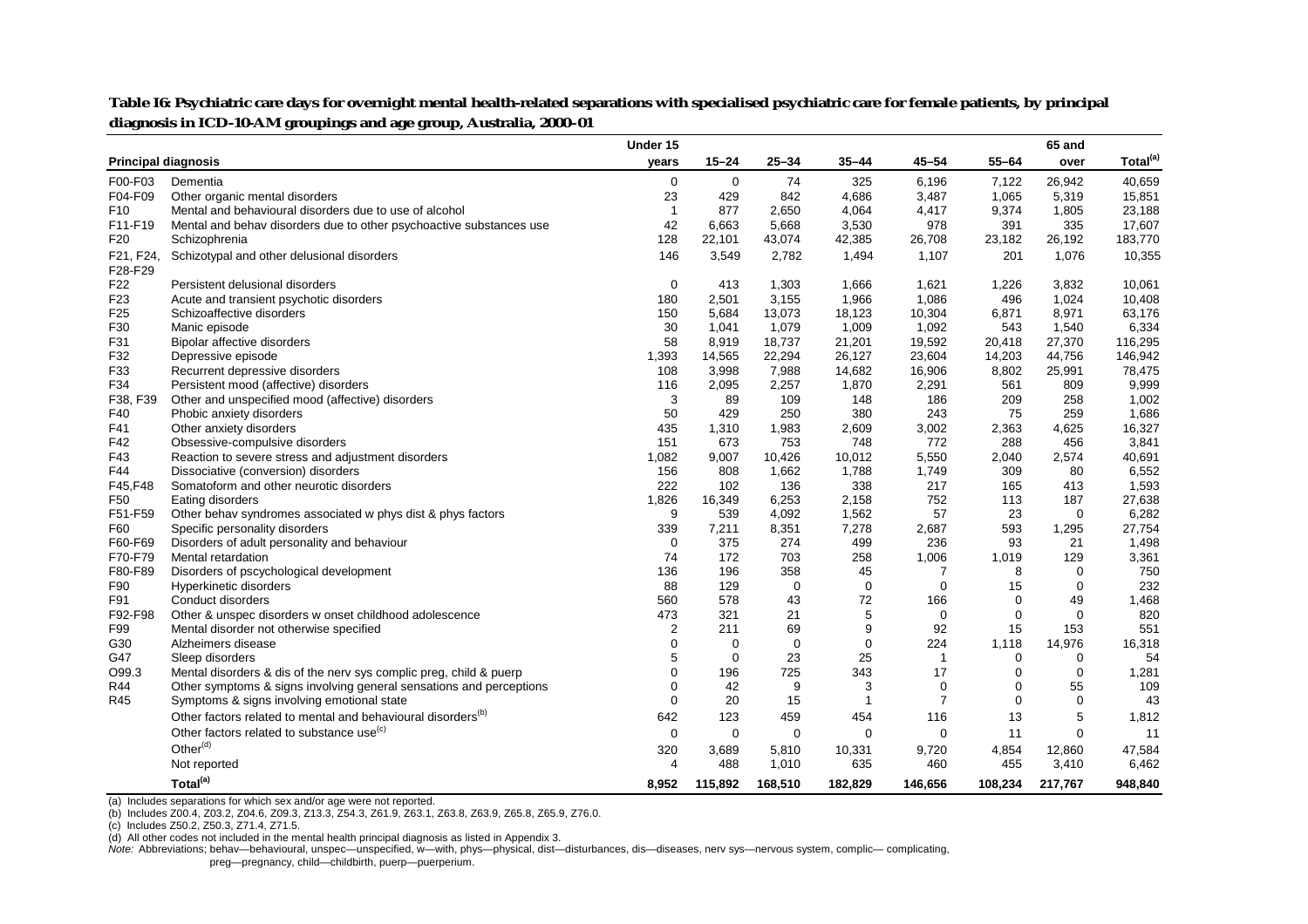|                            |                                                                          | Under 15       |             |             |             |                |             | 65 and      |                      |
|----------------------------|--------------------------------------------------------------------------|----------------|-------------|-------------|-------------|----------------|-------------|-------------|----------------------|
| <b>Principal diagnosis</b> |                                                                          | years          | $15 - 24$   | $25 - 34$   | $35 - 44$   | 45-54          | $55 - 64$   | over        | Total <sup>(a)</sup> |
| F00-F03                    | Dementia                                                                 | $\mathbf 0$    | $\mathbf 0$ | 74          | 325         | 6,196          | 7,122       | 26,942      | 40,659               |
| F04-F09                    | Other organic mental disorders                                           | 23             | 429         | 842         | 4,686       | 3,487          | 1.065       | 5,319       | 15,851               |
| F <sub>10</sub>            | Mental and behavioural disorders due to use of alcohol                   | $\mathbf{1}$   | 877         | 2,650       | 4,064       | 4,417          | 9,374       | 1,805       | 23,188               |
| F11-F19                    | Mental and behav disorders due to other psychoactive substances use      | 42             | 6,663       | 5,668       | 3,530       | 978            | 391         | 335         | 17,607               |
| F <sub>20</sub>            | Schizophrenia                                                            | 128            | 22,101      | 43,074      | 42,385      | 26,708         | 23,182      | 26,192      | 183,770              |
| F21, F24,                  | Schizotypal and other delusional disorders                               | 146            | 3,549       | 2,782       | 1,494       | 1,107          | 201         | 1,076       | 10,355               |
| F28-F29                    |                                                                          |                |             |             |             |                |             |             |                      |
| F22                        | Persistent delusional disorders                                          | $\mathbf 0$    | 413         | 1,303       | 1,666       | 1,621          | 1,226       | 3,832       | 10,061               |
| F <sub>23</sub>            | Acute and transient psychotic disorders                                  | 180            | 2,501       | 3,155       | 1,966       | 1,086          | 496         | 1,024       | 10,408               |
| F <sub>25</sub>            | Schizoaffective disorders                                                | 150            | 5,684       | 13,073      | 18,123      | 10,304         | 6,871       | 8,971       | 63,176               |
| F30                        | Manic episode                                                            | 30             | 1,041       | 1,079       | 1,009       | 1,092          | 543         | 1,540       | 6,334                |
| F31                        | Bipolar affective disorders                                              | 58             | 8,919       | 18,737      | 21,201      | 19,592         | 20,418      | 27,370      | 116,295              |
| F32                        | Depressive episode                                                       | 1,393          | 14,565      | 22,294      | 26,127      | 23,604         | 14,203      | 44,756      | 146,942              |
| F33                        | Recurrent depressive disorders                                           | 108            | 3,998       | 7,988       | 14,682      | 16,906         | 8,802       | 25,991      | 78,475               |
| F34                        | Persistent mood (affective) disorders                                    | 116            | 2,095       | 2,257       | 1,870       | 2,291          | 561         | 809         | 9,999                |
| F38, F39                   | Other and unspecified mood (affective) disorders                         | 3              | 89          | 109         | 148         | 186            | 209         | 258         | 1,002                |
| F40                        | Phobic anxiety disorders                                                 | 50             | 429         | 250         | 380         | 243            | 75          | 259         | 1,686                |
| F41                        | Other anxiety disorders                                                  | 435            | 1,310       | 1,983       | 2,609       | 3,002          | 2,363       | 4,625       | 16,327               |
| F42                        | Obsessive-compulsive disorders                                           | 151            | 673         | 753         | 748         | 772            | 288         | 456         | 3,841                |
| F43                        | Reaction to severe stress and adjustment disorders                       | 1,082          | 9,007       | 10,426      | 10,012      | 5,550          | 2,040       | 2,574       | 40,691               |
| F44                        | Dissociative (conversion) disorders                                      | 156            | 808         | 1,662       | 1,788       | 1,749          | 309         | 80          | 6,552                |
| F45, F48                   | Somatoform and other neurotic disorders                                  | 222            | 102         | 136         | 338         | 217            | 165         | 413         | 1,593                |
| F50                        | Eating disorders                                                         | 1,826          | 16,349      | 6,253       | 2,158       | 752            | 113         | 187         | 27,638               |
| F51-F59                    | Other behav syndromes associated w phys dist & phys factors              | 9              | 539         | 4,092       | 1,562       | 57             | 23          | $\mathbf 0$ | 6,282                |
| F60                        | Specific personality disorders                                           | 339            | 7,211       | 8,351       | 7,278       | 2,687          | 593         | 1,295       | 27,754               |
| F60-F69                    | Disorders of adult personality and behaviour                             | $\mathbf 0$    | 375         | 274         | 499         | 236            | 93          | 21          | 1,498                |
| F70-F79                    | Mental retardation                                                       | 74             | 172         | 703         | 258         | 1,006          | 1,019       | 129         | 3,361                |
| F80-F89                    | Disorders of pscychological development                                  | 136            | 196         | 358         | 45          | 7              | 8           | $\mathbf 0$ | 750                  |
| F90                        | Hyperkinetic disorders                                                   | 88             | 129         | $\mathbf 0$ | $\mathbf 0$ | $\mathbf 0$    | 15          | $\mathbf 0$ | 232                  |
| F91                        | Conduct disorders                                                        | 560            | 578         | 43          | 72          | 166            | $\mathbf 0$ | 49          | 1,468                |
| F92-F98                    | Other & unspec disorders w onset childhood adolescence                   | 473            | 321         | 21          | 5           | $\mathbf 0$    | $\mathbf 0$ | 0           | 820                  |
| F99                        | Mental disorder not otherwise specified                                  | $\overline{2}$ | 211         | 69          | 9           | 92             | 15          | 153         | 551                  |
| G30                        | Alzheimers disease                                                       | $\Omega$       | $\mathbf 0$ | $\mathbf 0$ | $\mathbf 0$ | 224            | 1,118       | 14,976      | 16,318               |
| G47                        | Sleep disorders                                                          | 5              | $\mathbf 0$ | 23          | 25          | -1             | $\mathbf 0$ | 0           | 54                   |
| O99.3                      | Mental disorders & dis of the nerv sys complic preg, child & puerp       | $\mathbf 0$    | 196         | 725         | 343         | 17             | 0           | $\mathbf 0$ | 1,281                |
| R44                        | Other symptoms & signs involving general sensations and perceptions      | $\Omega$       | 42          | 9           | 3           | $\mathbf 0$    | 0           | 55          | 109                  |
| R45                        | Symptoms & signs involving emotional state                               | $\Omega$       | 20          | 15          | 1           | $\overline{7}$ | $\mathbf 0$ | $\mathbf 0$ | 43                   |
|                            | Other factors related to mental and behavioural disorders <sup>(b)</sup> | 642            | 123         | 459         | 454         | 116            | 13          | 5           | 1,812                |
|                            | Other factors related to substance use <sup>(c)</sup>                    | $\mathbf 0$    | $\mathbf 0$ | $\mathbf 0$ | $\mathbf 0$ | $\mathbf 0$    | 11          | $\mathbf 0$ | 11                   |
|                            | Other <sup>(d)</sup>                                                     | 320            | 3,689       | 5,810       | 10,331      | 9,720          | 4,854       | 12,860      | 47,584               |
|                            | Not reported                                                             | $\overline{4}$ | 488         | 1,010       | 635         | 460            | 455         | 3,410       | 6,462                |
|                            | Total <sup>(a)</sup>                                                     | 8,952          | 115,892     | 168,510     | 182,829     | 146,656        | 108,234     | 217,767     | 948,840              |

Table I6: Psychiatric care days for overnight mental health-related separations with specialised psychiatric care for female patients, by principal **diagnosis in ICD-10-AM groupings and age group, Australia, 2000–01**

(a) Includes separations for which sex and/or age were not reported.

(b) Includes Z00.4, Z03.2, Z04.6, Z09.3, Z13.3, Z54.3, Z61.9, Z63.1, Z63.8, Z63.9, Z65.8, Z65.9, Z76.0.

(c) Includes Z50.2, Z50.3, Z71.4, Z71.5.

(d) All other codes not included in the mental health principal diagnosis as listed in Appendix 3.

*Note:* Abbreviations; behav—behavioural, unspec—unspecified, w—with, phys—physical, dist—disturbances, dis—diseases, nerv sys—nervous system, complic— complicating, preg—pregnancy, child—childbirth, puerp—puerperium.